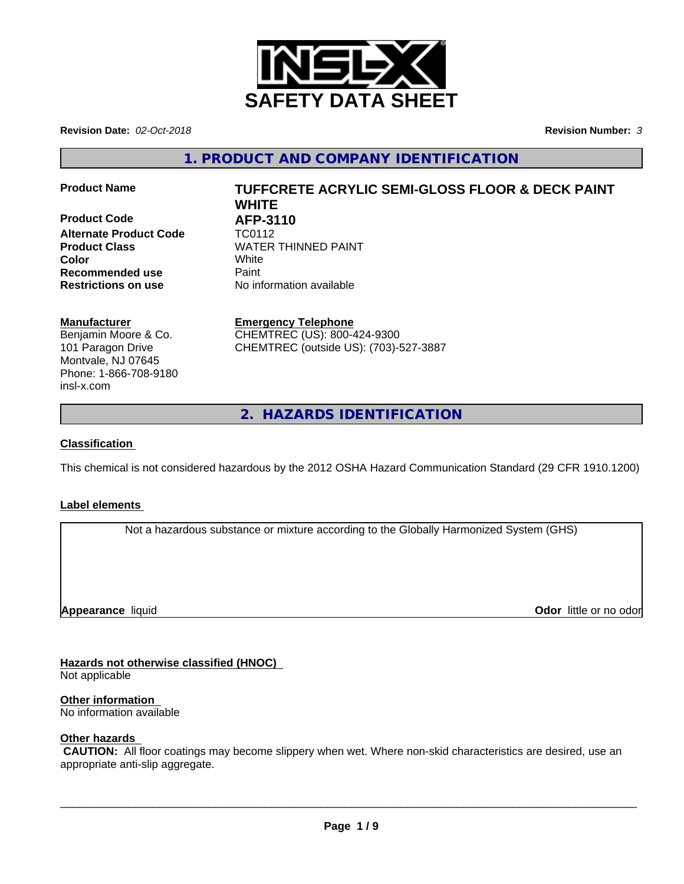

**Revision Date:** *02-Oct-2018* **Revision Number:** *3*

**1. PRODUCT AND COMPANY IDENTIFICATION**

**Product Code AFP-3110 Alternate Product Code** TC0112 **Recommended use** Paint **Restrictions on use** No information available

# **Product Name TUFFCRETE ACRYLIC SEMI-GLOSS FLOOR & DECK PAINT WHITE**

**Product Class WATER THINNED PAINT Color** White

#### **Manufacturer**

Benjamin Moore & Co. 101 Paragon Drive Montvale, NJ 07645 Phone: 1-866-708-9180 insl-x.com

**Emergency Telephone** CHEMTREC (US): 800-424-9300 CHEMTREC (outside US): (703)-527-3887

**2. HAZARDS IDENTIFICATION**

#### **Classification**

This chemical is not considered hazardous by the 2012 OSHA Hazard Communication Standard (29 CFR 1910.1200)

#### **Label elements**

Not a hazardous substance or mixture according to the Globally Harmonized System (GHS)

**Appearance** liquid

**Odor** little or no odor

# **Hazards not otherwise classified (HNOC)**

Not applicable

### **Other information**

No information available

#### **Other hazards**

 **CAUTION:** All floor coatings may become slippery when wet. Where non-skid characteristics are desired, use an appropriate anti-slip aggregate.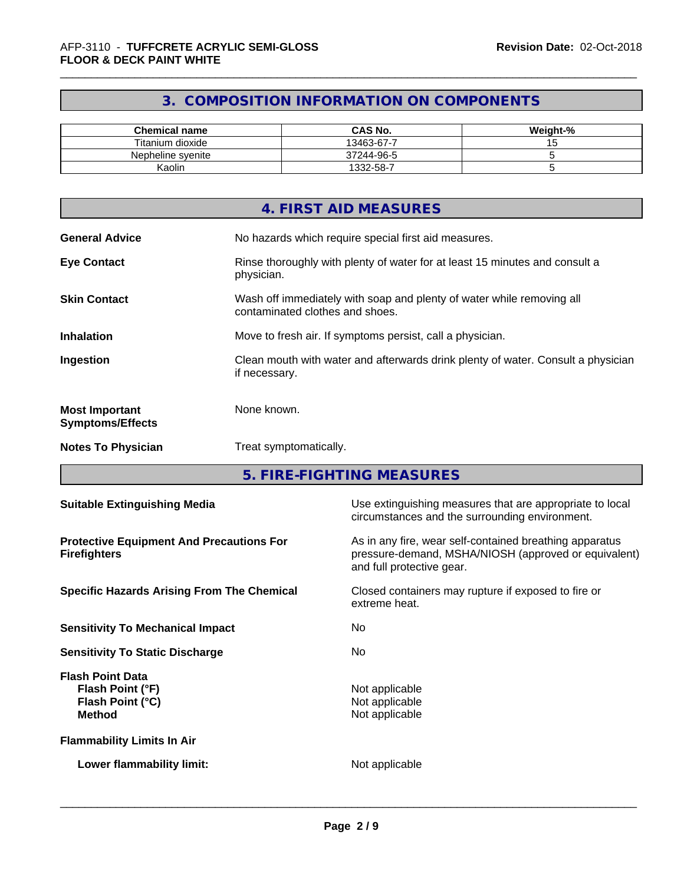# **3. COMPOSITION INFORMATION ON COMPONENTS**

| <b>Chemical name</b> | <b>CAS No.</b> | Weight-% |
|----------------------|----------------|----------|
| Titanium dioxide     | 13463-67-7     |          |
| Nepheline svenite    | 37244-96-5     |          |
| Kaolin               | 1332-58-7      |          |

|                                                  | 4. FIRST AID MEASURES                                                                                    |
|--------------------------------------------------|----------------------------------------------------------------------------------------------------------|
| <b>General Advice</b>                            | No hazards which require special first aid measures.                                                     |
| <b>Eye Contact</b>                               | Rinse thoroughly with plenty of water for at least 15 minutes and consult a<br>physician.                |
| <b>Skin Contact</b>                              | Wash off immediately with soap and plenty of water while removing all<br>contaminated clothes and shoes. |
| <b>Inhalation</b>                                | Move to fresh air. If symptoms persist, call a physician.                                                |
| Ingestion                                        | Clean mouth with water and afterwards drink plenty of water. Consult a physician<br>if necessary.        |
| <b>Most Important</b><br><b>Symptoms/Effects</b> | None known.                                                                                              |
| <b>Notes To Physician</b>                        | Treat symptomatically.                                                                                   |

**5. FIRE-FIGHTING MEASURES**

| <b>Suitable Extinguishing Media</b>                                              | Use extinguishing measures that are appropriate to local<br>circumstances and the surrounding environment.                                   |
|----------------------------------------------------------------------------------|----------------------------------------------------------------------------------------------------------------------------------------------|
| <b>Protective Equipment And Precautions For</b><br><b>Firefighters</b>           | As in any fire, wear self-contained breathing apparatus<br>pressure-demand, MSHA/NIOSH (approved or equivalent)<br>and full protective gear. |
| <b>Specific Hazards Arising From The Chemical</b>                                | Closed containers may rupture if exposed to fire or<br>extreme heat.                                                                         |
| <b>Sensitivity To Mechanical Impact</b>                                          | No.                                                                                                                                          |
| <b>Sensitivity To Static Discharge</b>                                           | No.                                                                                                                                          |
| <b>Flash Point Data</b><br>Flash Point (°F)<br>Flash Point (°C)<br><b>Method</b> | Not applicable<br>Not applicable<br>Not applicable                                                                                           |
| <b>Flammability Limits In Air</b>                                                |                                                                                                                                              |
| Lower flammability limit:                                                        | Not applicable                                                                                                                               |
|                                                                                  |                                                                                                                                              |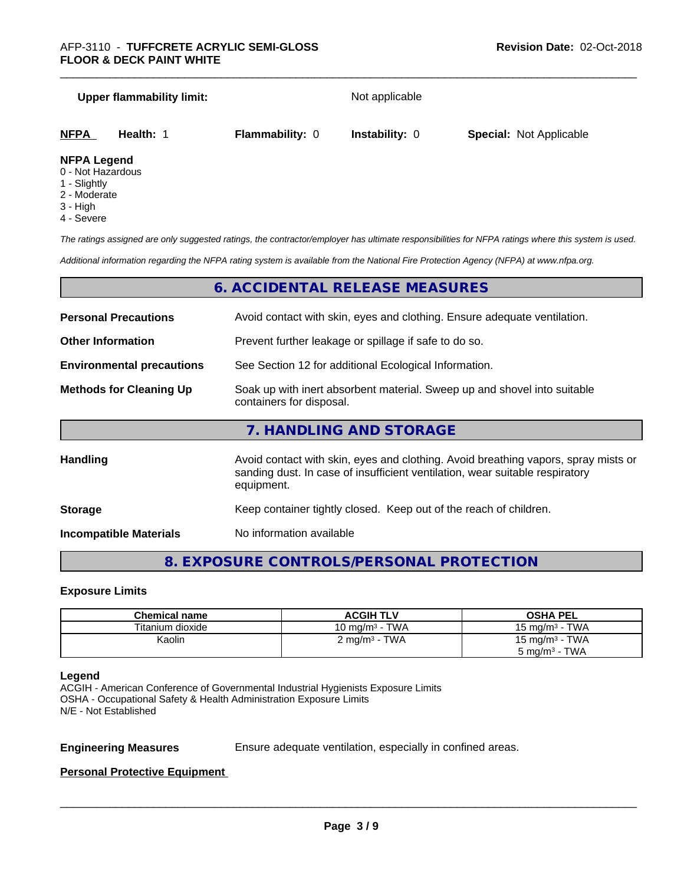#### **Upper flammability limit:** Not applicable

| <b>NFPA</b> | Health: | <b>Flammability: 0</b> | <b>Instability: 0</b> | <b>Special: Not Applicable</b> |  |
|-------------|---------|------------------------|-----------------------|--------------------------------|--|
| _ _ _ _ _ _ |         |                        |                       |                                |  |

#### **NFPA Legend**

- 0 Not Hazardous
- 1 Slightly
- 2 Moderate
- 3 High
- 4 Severe

*The ratings assigned are only suggested ratings, the contractor/employer has ultimate responsibilities for NFPA ratings where this system is used.*

*Additional information regarding the NFPA rating system is available from the National Fire Protection Agency (NFPA) at www.nfpa.org.*

#### **6. ACCIDENTAL RELEASE MEASURES**

| <b>Personal Precautions</b>                                                                                                            | Avoid contact with skin, eyes and clothing. Ensure adequate ventilation.                                                                                                         |
|----------------------------------------------------------------------------------------------------------------------------------------|----------------------------------------------------------------------------------------------------------------------------------------------------------------------------------|
| <b>Other Information</b>                                                                                                               | Prevent further leakage or spillage if safe to do so.                                                                                                                            |
| <b>Environmental precautions</b>                                                                                                       | See Section 12 for additional Ecological Information.                                                                                                                            |
| Soak up with inert absorbent material. Sweep up and shovel into suitable<br><b>Methods for Cleaning Up</b><br>containers for disposal. |                                                                                                                                                                                  |
|                                                                                                                                        | 7. HANDLING AND STORAGE                                                                                                                                                          |
| Handling                                                                                                                               | Avoid contact with skin, eyes and clothing. Avoid breathing vapors, spray mists or<br>sanding dust. In case of insufficient ventilation, wear suitable respiratory<br>equipment. |
| <b>Storage</b>                                                                                                                         | Keep container tightly closed. Keep out of the reach of children.                                                                                                                |

**Incompatible Materials** No information available

# **8. EXPOSURE CONTROLS/PERSONAL PROTECTION**

#### **Exposure Limits**

| Chemical name    | <b>ACGIH TLV</b>         | <b>OSHA PEL</b>                |
|------------------|--------------------------|--------------------------------|
| Titanium dioxide | 10 mg/m $3$ - TWA        | 15 mg/m $3$ - TWA              |
| Kaolin           | $2 \text{ mg/m}^3$ - TWA | 15 mg/m $3$ - TWA              |
|                  |                          | - TWA<br>5 mg/m <sup>3</sup> - |

#### **Legend**

ACGIH - American Conference of Governmental Industrial Hygienists Exposure Limits OSHA - Occupational Safety & Health Administration Exposure Limits N/E - Not Established

**Engineering Measures** Ensure adequate ventilation, especially in confined areas.

 $\overline{\phantom{a}}$  ,  $\overline{\phantom{a}}$  ,  $\overline{\phantom{a}}$  ,  $\overline{\phantom{a}}$  ,  $\overline{\phantom{a}}$  ,  $\overline{\phantom{a}}$  ,  $\overline{\phantom{a}}$  ,  $\overline{\phantom{a}}$  ,  $\overline{\phantom{a}}$  ,  $\overline{\phantom{a}}$  ,  $\overline{\phantom{a}}$  ,  $\overline{\phantom{a}}$  ,  $\overline{\phantom{a}}$  ,  $\overline{\phantom{a}}$  ,  $\overline{\phantom{a}}$  ,  $\overline{\phantom{a}}$ 

#### **Personal Protective Equipment**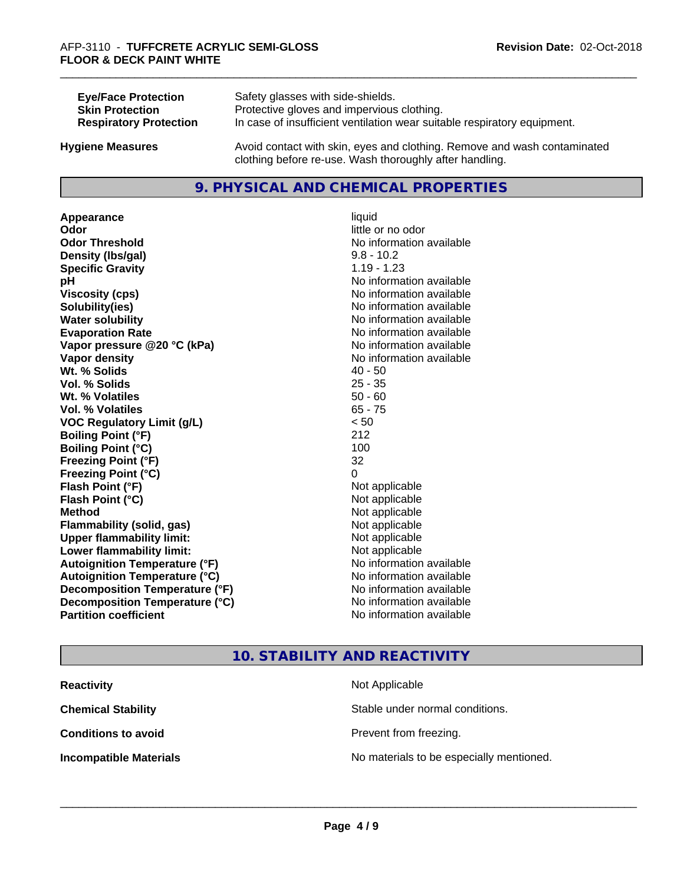| <b>Eye/Face Protection</b>    | Safety glasses with side-shields.                                        |
|-------------------------------|--------------------------------------------------------------------------|
| <b>Skin Protection</b>        | Protective gloves and impervious clothing.                               |
| <b>Respiratory Protection</b> | In case of insufficient ventilation wear suitable respiratory equipment. |
| <b>Hygiene Measures</b>       | Avoid contact with skin, eyes and clothing. Remove and wash contaminated |

clothing before re-use. Wash thoroughly after handling.

# **9. PHYSICAL AND CHEMICAL PROPERTIES**

**Appearance** liquid **Odor** little or no odor **Odor Threshold No information available No information available Density (lbs/gal)** 9.8 - 10.2 **Specific Gravity** 1.19 - 1.23 **pH** No information available **Viscosity (cps)** No information available **Solubility(ies)** No information available **Water solubility Water solubility Water solubility Water solubility Water solubility Water solution Evaporation Rate No information available No information available Vapor pressure @20 °C (kPa)** No information available **Vapor density No information available Wt.** % Solids 40 - 50 **Vol. % Solids** 25 - 35 **Wt. % Volatiles** 50 - 60 **Vol. % Volatiles** 65 - 75 **VOC Regulatory Limit (g/L)** < 50 **Boiling Point (°F)** 212 **Boiling Point**  $(^{\circ}C)$  100 **Freezing Point (°F)** 32 **Freezing Point (°C)** 0 **Flash Point (°F)** Not applicable **Flash Point (°C)** Not applicable **Method** Not applicable **Flammability (solid, gas)** Not applicable **Upper flammability limit:** Not applicable **Lower flammability limit:** Not applicable **Autoignition Temperature (°F)** No information available **Autoignition Temperature (°C)** No information available **Decomposition Temperature (°F)**<br> **Decomposition Temperature (°C)**<br>
No information available **Decomposition Temperature (°C)**<br>Partition coefficient

**No information available** 

# **10. STABILITY AND REACTIVITY**

| <b>Reactivity</b>             | Not Applicable                           |
|-------------------------------|------------------------------------------|
| <b>Chemical Stability</b>     | Stable under normal conditions.          |
| <b>Conditions to avoid</b>    | Prevent from freezing.                   |
| <b>Incompatible Materials</b> | No materials to be especially mentioned. |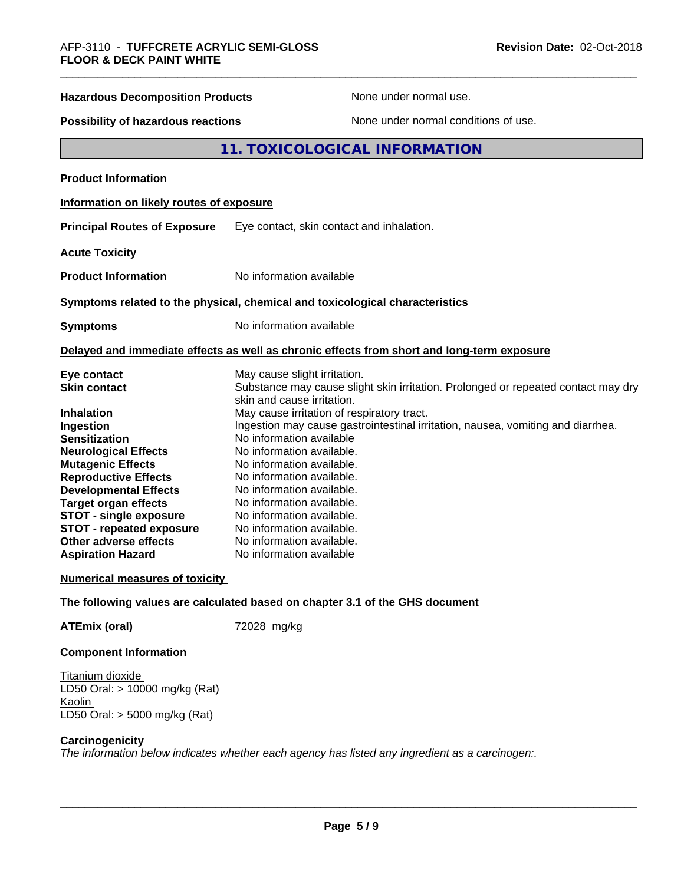| <b>Hazardous Decomposition Products</b>                                                                                                                                              | None under normal use.                                                                                                                                                                             |
|--------------------------------------------------------------------------------------------------------------------------------------------------------------------------------------|----------------------------------------------------------------------------------------------------------------------------------------------------------------------------------------------------|
| Possibility of hazardous reactions                                                                                                                                                   | None under normal conditions of use.                                                                                                                                                               |
|                                                                                                                                                                                      | 11. TOXICOLOGICAL INFORMATION                                                                                                                                                                      |
| <b>Product Information</b>                                                                                                                                                           |                                                                                                                                                                                                    |
| Information on likely routes of exposure                                                                                                                                             |                                                                                                                                                                                                    |
| <b>Principal Routes of Exposure</b>                                                                                                                                                  | Eye contact, skin contact and inhalation.                                                                                                                                                          |
| <b>Acute Toxicity</b>                                                                                                                                                                |                                                                                                                                                                                                    |
| <b>Product Information</b>                                                                                                                                                           | No information available                                                                                                                                                                           |
|                                                                                                                                                                                      | Symptoms related to the physical, chemical and toxicological characteristics                                                                                                                       |
| <b>Symptoms</b>                                                                                                                                                                      | No information available                                                                                                                                                                           |
|                                                                                                                                                                                      | Delayed and immediate effects as well as chronic effects from short and long-term exposure                                                                                                         |
| Eye contact<br><b>Skin contact</b><br>Inhalation                                                                                                                                     | May cause slight irritation.<br>Substance may cause slight skin irritation. Prolonged or repeated contact may dry<br>skin and cause irritation.<br>May cause irritation of respiratory tract.      |
| Ingestion<br><b>Sensitization</b><br><b>Neurological Effects</b><br><b>Mutagenic Effects</b><br><b>Reproductive Effects</b>                                                          | Ingestion may cause gastrointestinal irritation, nausea, vomiting and diarrhea.<br>No information available<br>No information available.<br>No information available.<br>No information available. |
| <b>Developmental Effects</b><br><b>Target organ effects</b><br><b>STOT - single exposure</b><br><b>STOT - repeated exposure</b><br>Other adverse effects<br><b>Aspiration Hazard</b> | No information available.<br>No information available.<br>No information available.<br>No information available.<br>No information available.<br>No information available                          |
| Numerical measures of toxicity                                                                                                                                                       |                                                                                                                                                                                                    |
|                                                                                                                                                                                      | The following values are calculated based on chapter 3.1 of the GHS document                                                                                                                       |

**ATEmix (oral)** 72028 mg/kg

#### **Component Information**

Titanium dioxide LD50 Oral: > 10000 mg/kg (Rat) Kaolin LD50 Oral: > 5000 mg/kg (Rat)

#### **Carcinogenicity**

*The information below indicateswhether each agency has listed any ingredient as a carcinogen:.*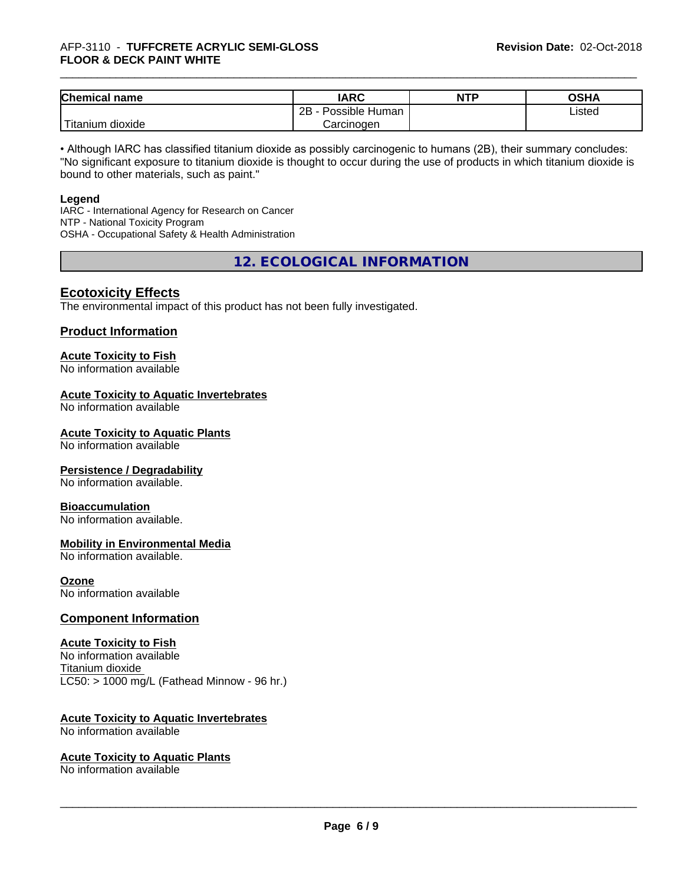# \_\_\_\_\_\_\_\_\_\_\_\_\_\_\_\_\_\_\_\_\_\_\_\_\_\_\_\_\_\_\_\_\_\_\_\_\_\_\_\_\_\_\_\_\_\_\_\_\_\_\_\_\_\_\_\_\_\_\_\_\_\_\_\_\_\_\_\_\_\_\_\_\_\_\_\_\_\_\_\_\_\_\_\_\_\_\_\_\_\_\_\_\_ AFP-3110 - **TUFFCRETE ACRYLIC SEMI-GLOSS FLOOR & DECK PAINT WHITE**

| <b>Chemical name</b>                       | <b>IARC</b>          | <b>NTP</b> | OSHA   |
|--------------------------------------------|----------------------|------------|--------|
|                                            | 2B<br>Possible Human |            | Listed |
| . . <del>. .</del><br>dioxide<br>l itanıum | Carcinogen           |            |        |

• Although IARC has classified titanium dioxide as possibly carcinogenic to humans (2B), their summary concludes: "No significant exposure to titanium dioxide is thought to occur during the use of products in which titanium dioxide is bound to other materials, such as paint."

#### **Legend**

IARC - International Agency for Research on Cancer NTP - National Toxicity Program OSHA - Occupational Safety & Health Administration

**12. ECOLOGICAL INFORMATION**

#### **Ecotoxicity Effects**

The environmental impact of this product has not been fully investigated.

#### **Product Information**

# **Acute Toxicity to Fish**

No information available

#### **Acute Toxicity to Aquatic Invertebrates**

No information available

#### **Acute Toxicity to Aquatic Plants**

No information available

#### **Persistence / Degradability**

No information available.

#### **Bioaccumulation**

No information available.

#### **Mobility in Environmental Media**

No information available.

#### **Ozone**

No information available

#### **Component Information**

#### **Acute Toxicity to Fish**

No information available Titanium dioxide  $LC50:$  > 1000 mg/L (Fathead Minnow - 96 hr.)

#### **Acute Toxicity to Aquatic Invertebrates**

No information available

#### **Acute Toxicity to Aquatic Plants**

No information available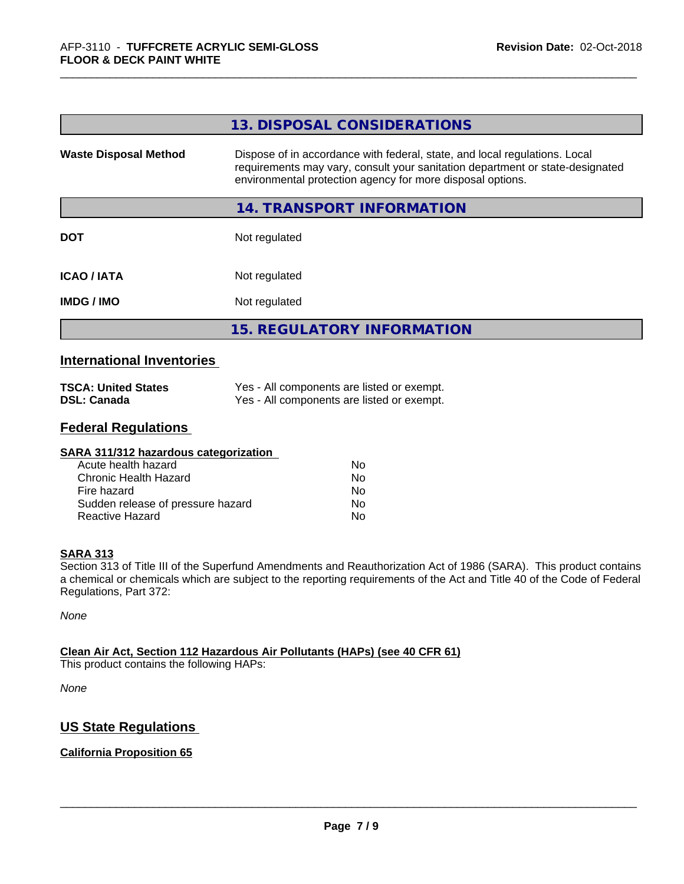|                              | 13. DISPOSAL CONSIDERATIONS                                                                                                                                                                                               |  |
|------------------------------|---------------------------------------------------------------------------------------------------------------------------------------------------------------------------------------------------------------------------|--|
| <b>Waste Disposal Method</b> | Dispose of in accordance with federal, state, and local regulations. Local<br>requirements may vary, consult your sanitation department or state-designated<br>environmental protection agency for more disposal options. |  |
|                              | 14. TRANSPORT INFORMATION                                                                                                                                                                                                 |  |
| <b>DOT</b>                   | Not regulated                                                                                                                                                                                                             |  |
| <b>ICAO / IATA</b>           | Not regulated                                                                                                                                                                                                             |  |
| <b>IMDG/IMO</b>              | Not regulated                                                                                                                                                                                                             |  |
|                              | <b>15. REGULATORY INFORMATION</b>                                                                                                                                                                                         |  |

#### **International Inventories**

| <b>TSCA: United States</b> | Yes - All components are listed or exempt. |
|----------------------------|--------------------------------------------|
| <b>DSL: Canada</b>         | Yes - All components are listed or exempt. |

## **Federal Regulations**

| SARA 311/312 hazardous categorization |    |  |
|---------------------------------------|----|--|
| Acute health hazard                   | Nο |  |
| Chronic Health Hazard                 | No |  |
| Fire hazard                           | No |  |
| Sudden release of pressure hazard     | No |  |
| Reactive Hazard                       | No |  |

#### **SARA 313**

Section 313 of Title III of the Superfund Amendments and Reauthorization Act of 1986 (SARA). This product contains a chemical or chemicals which are subject to the reporting requirements of the Act and Title 40 of the Code of Federal Regulations, Part 372:

*None*

#### **Clean Air Act,Section 112 Hazardous Air Pollutants (HAPs) (see 40 CFR 61)**

This product contains the following HAPs:

*None*

## **US State Regulations**

#### **California Proposition 65**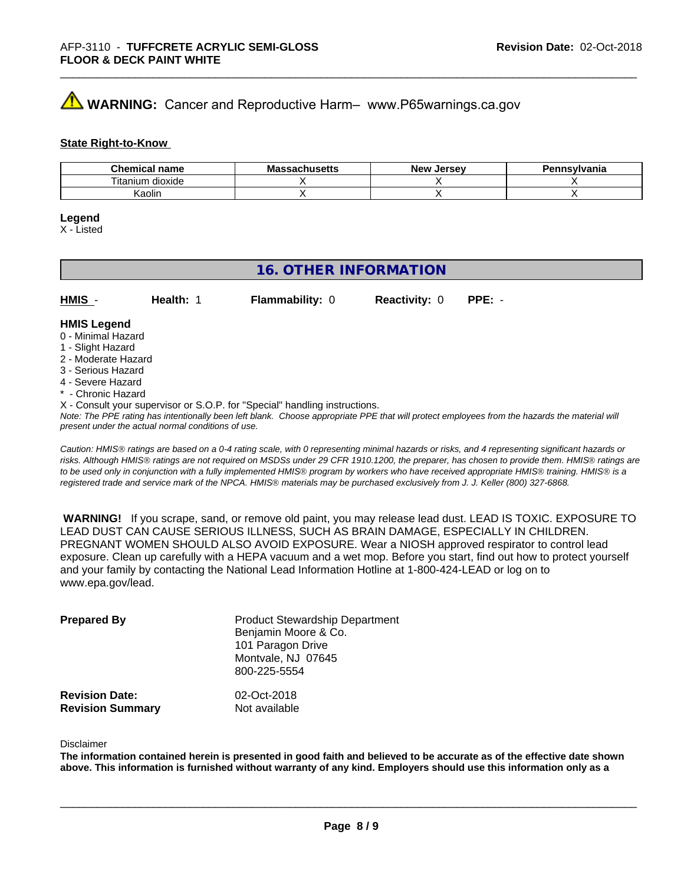# **WARNING:** Cancer and Reproductive Harm– www.P65warnings.ca.gov

#### **State Right-to-Know**

| Chemical<br><b>I</b> name            | 30hua olia<br><b>IVI</b> C<br>-aunuscus | . Jerse∨<br><b>Nev</b> | Pennsvlvania |
|--------------------------------------|-----------------------------------------|------------------------|--------------|
| <br>--<br>lum<br>dioxide<br>. ıtanıı |                                         |                        |              |
| Kaolin                               |                                         |                        |              |

#### **Legend**

X - Listed

# **16. OTHER INFORMATION**

| $HMIS -$           | Health: | <b>Flammability: 0</b> | <b>Reactivity: 0</b> | $PPE: -$ |
|--------------------|---------|------------------------|----------------------|----------|
| <b>HMIS Legend</b> |         |                        |                      |          |

#### 0 - Minimal Hazard

- 1 Slight Hazard
- 2 Moderate Hazard
- 3 Serious Hazard
- 4 Severe Hazard
- \* Chronic Hazard
- X Consult your supervisor or S.O.P. for "Special" handling instructions.

*Note: The PPE rating has intentionally been left blank. Choose appropriate PPE that will protect employees from the hazards the material will present under the actual normal conditions of use.*

*Caution: HMISÒ ratings are based on a 0-4 rating scale, with 0 representing minimal hazards or risks, and 4 representing significant hazards or risks. Although HMISÒ ratings are not required on MSDSs under 29 CFR 1910.1200, the preparer, has chosen to provide them. HMISÒ ratings are to be used only in conjunction with a fully implemented HMISÒ program by workers who have received appropriate HMISÒ training. HMISÒ is a registered trade and service mark of the NPCA. HMISÒ materials may be purchased exclusively from J. J. Keller (800) 327-6868.*

 **WARNING!** If you scrape, sand, or remove old paint, you may release lead dust. LEAD IS TOXIC. EXPOSURE TO LEAD DUST CAN CAUSE SERIOUS ILLNESS, SUCH AS BRAIN DAMAGE, ESPECIALLY IN CHILDREN. PREGNANT WOMEN SHOULD ALSO AVOID EXPOSURE.Wear a NIOSH approved respirator to control lead exposure. Clean up carefully with a HEPA vacuum and a wet mop. Before you start, find out how to protect yourself and your family by contacting the National Lead Information Hotline at 1-800-424-LEAD or log on to www.epa.gov/lead.

| <b>Prepared By</b>                               | <b>Product Stewardship Department</b><br>Benjamin Moore & Co.<br>101 Paragon Drive<br>Montvale, NJ 07645<br>800-225-5554 |  |
|--------------------------------------------------|--------------------------------------------------------------------------------------------------------------------------|--|
| <b>Revision Date:</b><br><b>Revision Summary</b> | 02-Oct-2018<br>Not available                                                                                             |  |

#### Disclaimer

The information contained herein is presented in good faith and believed to be accurate as of the effective date shown above. This information is furnished without warranty of any kind. Employers should use this information only as a